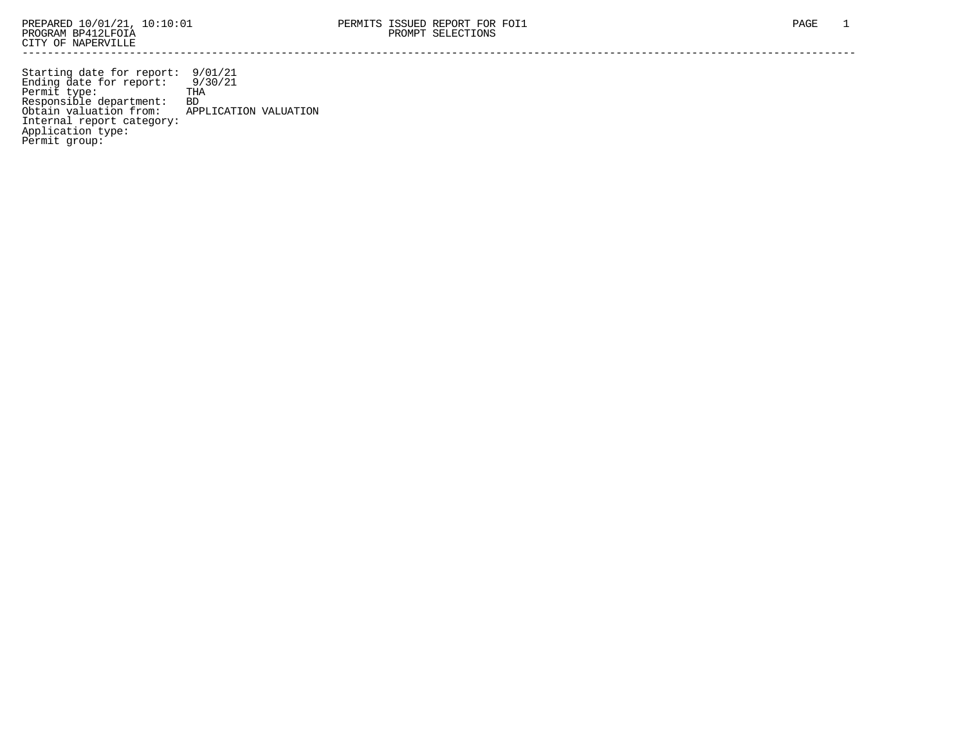Starting date for report: 9/01/21 Ending date for report: 9/30/21 Permit type: THA Responsible department: BD Obtain valuation from: APPLICATION VALUATION Internal report category: Application type: Permit group: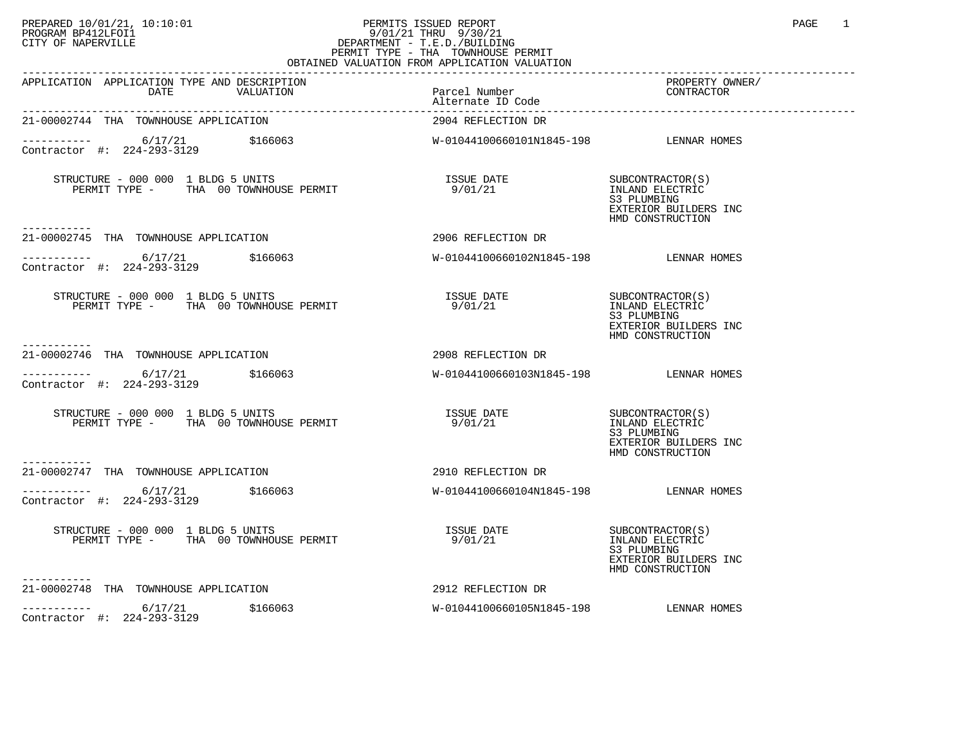## PREPARED 10/01/21, 10:10:01 PERMITS ISSUED REPORT PAGE 1 PAGE 1 PROGRAM BP412LFOI1 9/01/21 THRU 9/30/21 CITY OF NAPERVILLE **Example 20** CITY OF NAPERVILLE PERMIT TYPE - THA TOWNHOUSE PERMIT

| OBTAINED VALUATION FROM APPLICATION VALUATION                                                                                |                                                 |                                                                                                 |  |
|------------------------------------------------------------------------------------------------------------------------------|-------------------------------------------------|-------------------------------------------------------------------------------------------------|--|
| APPLICATION APPLICATION TYPE AND DESCRIPTION<br>DATE THE TALL VALUATION<br>DATE VALUATION Parcel Number<br>Alternate ID Code |                                                 | PROPERTY OWNER/<br>CONTRACTOR                                                                   |  |
| 21-00002744 THA TOWNHOUSE APPLICATION                                                                                        | 2904 REFLECTION DR                              |                                                                                                 |  |
| ----------- 6/17/21 \$166063<br>Contractor #: 224-293-3129                                                                   | W-01044100660101N1845-198 LENNAR HOMES          |                                                                                                 |  |
| -----------                                                                                                                  |                                                 | SUBCONTRACTOR(S)<br>INLAND ELECTRIC<br>S3 PLUMBING<br>EXTERIOR BUILDERS INC<br>HMD CONSTRUCTION |  |
| 21-00002745 THA TOWNHOUSE APPLICATION                                                                                        | 2906 REFLECTION DR                              |                                                                                                 |  |
| $--------- 6/17/21$<br>Contractor #: 224-293-3129                                                                            | \$166063 W-01044100660102N1845-198 LENNAR HOMES |                                                                                                 |  |
| $STRUCTURE - 000 000 1 BLDG 5 UNITS$<br>PERMIT TYPE - THA 00 TOWNHOUSE PERMIT                                                | ISSUE DATE<br>9/01/21                           | SUBCONTRACTOR(S)<br>INLAND ELECTRIC<br>S3 PLUMBING<br>EXTERIOR BUILDERS INC<br>HMD CONSTRUCTION |  |
| 21-00002746 THA TOWNHOUSE APPLICATION                                                                                        | 2908 REFLECTION DR                              |                                                                                                 |  |
| 6/17/21 \$166063<br>------------<br>Contractor #: 224-293-3129                                                               | W-01044100660103N1845-198 LENNAR HOMES          |                                                                                                 |  |
| $STRUCTURE - 000 000 1 BLDG 5 UNITS$<br>PERMIT TYPE - THA 00 TOWNHOUSE PERMIT                                                | <b>ISSUE DATE</b><br>9/01/21                    | SUBCONTRACTOR(S)<br>INLAND ELECTRIC<br>S3 PLUMBING<br>EXTERIOR BUILDERS INC<br>HMD CONSTRUCTION |  |
| ------------<br>21-00002747 THA TOWNHOUSE APPLICATION                                                                        | 2910 REFLECTION DR                              |                                                                                                 |  |
| ----------- 6/17/21<br>\$166063<br>Contractor #: 224-293-3129                                                                | W-01044100660104N1845-198 LENNAR HOMES          |                                                                                                 |  |
| STRUCTURE - 000 000 1 BLDG 5 UNITS<br>PERMIT TYPE - THA 00 TOWNHOUSE PERMIT                                                  | ISSUE DATE<br>9/01/21                           | SUBCONTRACTOR(S)<br>INLAND ELECTRIC<br>S3 PLUMBING<br>EXTERIOR BUILDERS INC<br>HMD CONSTRUCTION |  |
| -----------<br>21-00002748 THA TOWNHOUSE APPLICATION                                                                         | 2912 REFLECTION DR                              |                                                                                                 |  |
| ___________<br>\$166063<br>6/17/21<br>Contractor #: 224-293-3129                                                             | W-01044100660105N1845-198 LENNAR HOMES          |                                                                                                 |  |